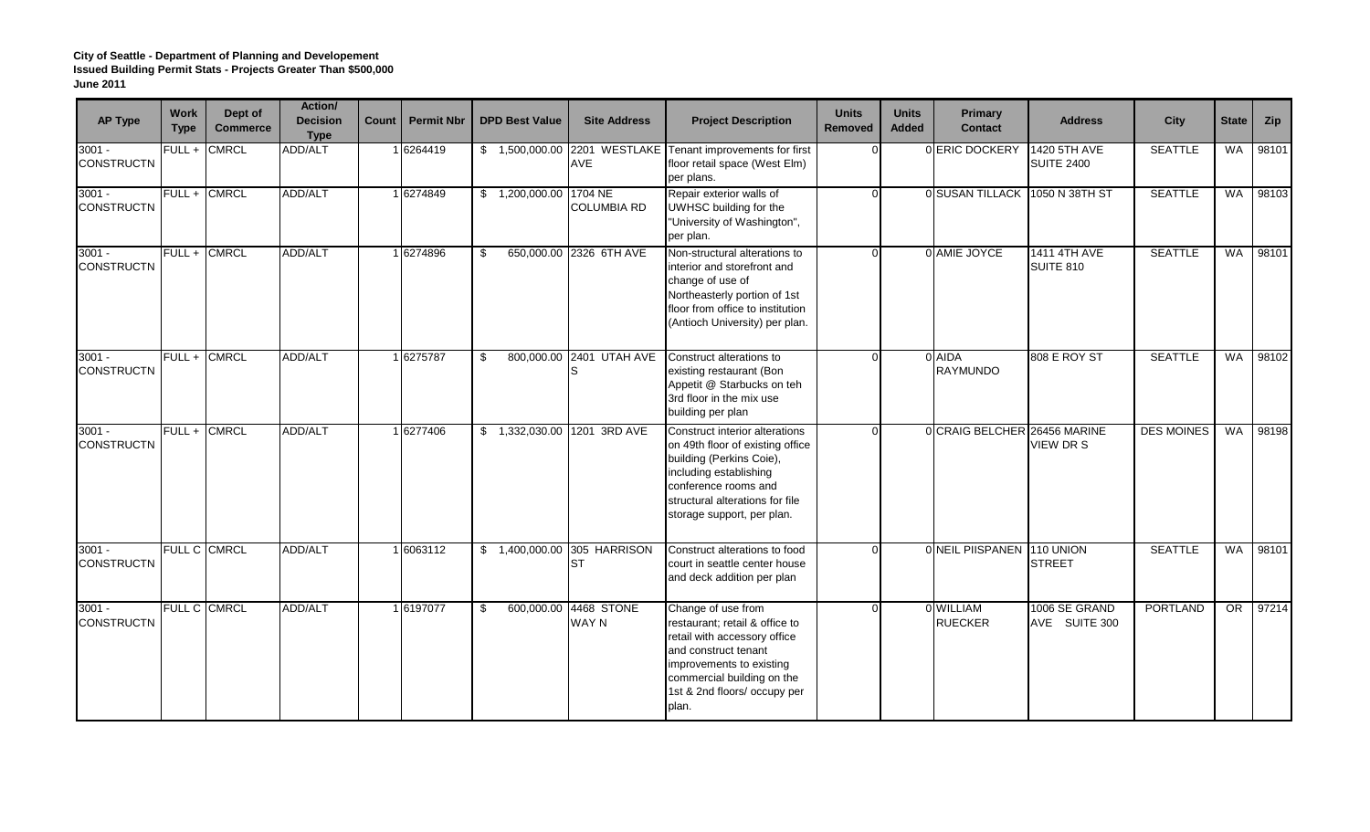| <b>AP Type</b>                | <b>Work</b><br><b>Type</b> | Dept of<br><b>Commerce</b> | Action/<br><b>Decision</b><br><b>Type</b> | Count | <b>Permit Nbr</b> | <b>DPD Best Value</b>  | <b>Site Address</b>                   | <b>Project Description</b>                                                                                                                                                                                        | <b>Units</b><br><b>Removed</b> | <b>Units</b><br><b>Added</b> | Primary<br><b>Contact</b>    | <b>Address</b>                          | <b>City</b>       | <b>State</b> | Zip   |
|-------------------------------|----------------------------|----------------------------|-------------------------------------------|-------|-------------------|------------------------|---------------------------------------|-------------------------------------------------------------------------------------------------------------------------------------------------------------------------------------------------------------------|--------------------------------|------------------------------|------------------------------|-----------------------------------------|-------------------|--------------|-------|
| $3001 -$<br><b>CONSTRUCTN</b> | $FULL +$                   | <b>CMRCL</b>               | ADD/ALT                                   |       | 16264419          |                        | <b>AVE</b>                            | \$ 1,500,000.00 2201 WESTLAKE Tenant improvements for first<br>floor retail space (West Elm)<br>per plans.                                                                                                        | $\Omega$                       |                              | 0 ERIC DOCKERY               | 1420 5TH AVE<br><b>SUITE 2400</b>       | <b>SEATTLE</b>    | WA           | 98101 |
| $3001 -$<br><b>CONSTRUCTN</b> | FULL +                     | <b>CMRCL</b>               | <b>ADD/ALT</b>                            |       | 1 6274849         | \$1,200,000.00 1704 NE | <b>COLUMBIA RD</b>                    | Repair exterior walls of<br>UWHSC building for the<br>"University of Washington",<br>per plan.                                                                                                                    | $\Omega$                       |                              | 0 SUSAN TILLACK              | 1050 N 38TH ST                          | <b>SEATTLE</b>    | <b>WA</b>    | 98103 |
| $3001 -$<br><b>CONSTRUCTN</b> | $FULL +$                   | <b>CMRCL</b>               | ADD/ALT                                   |       | 1 6274896         | \$<br>650,000.00       | 2326 6TH AVE                          | Non-structural alterations to<br>interior and storefront and<br>change of use of<br>Northeasterly portion of 1st<br>floor from office to institution<br>(Antioch University) per plan.                            | $\Omega$                       |                              | 0 AMIE JOYCE                 | <b>1411 4TH AVE</b><br><b>SUITE 810</b> | <b>SEATTLE</b>    | <b>WA</b>    | 98101 |
| $3001 -$<br><b>CONSTRUCTN</b> | $FULL +$                   | <b>CMRCL</b>               | ADD/ALT                                   |       | 1 6275787         | \$                     | 800,000.00 2401 UTAH AVE              | Construct alterations to<br>existing restaurant (Bon<br>Appetit @ Starbucks on teh<br>3rd floor in the mix use<br>building per plan                                                                               | $\Omega$                       |                              | 0 AIDA<br><b>RAYMUNDO</b>    | 808 E ROY ST                            | <b>SEATTLE</b>    | <b>WA</b>    | 98102 |
| $3001 -$<br><b>CONSTRUCTN</b> | FULL + CMRCL               |                            | <b>ADD/ALT</b>                            |       | 1 6277406         |                        | \$1,332,030.00 1201 3RD AVE           | Construct interior alterations<br>on 49th floor of existing office<br>building (Perkins Coie),<br>including establishing<br>conference rooms and<br>structural alterations for file<br>storage support, per plan. | $\Omega$                       |                              | 0 CRAIG BELCHER 26456 MARINE | <b>VIEW DR S</b>                        | <b>DES MOINES</b> | WA           | 98198 |
| $3001 -$<br><b>CONSTRUCTN</b> |                            | FULL C CMRCL               | ADD/ALT                                   |       | 1 6063112         |                        | \$ 1,400,000.00 305 HARRISON<br>IST   | Construct alterations to food<br>court in seattle center house<br>and deck addition per plan                                                                                                                      | $\Omega$                       |                              | 0 NEIL PIISPANEN             | 110 UNION<br><b>STREET</b>              | <b>SEATTLE</b>    | <b>WA</b>    | 98101 |
| $3001 -$<br><b>CONSTRUCTN</b> |                            | FULL C CMRCL               | <b>ADD/ALT</b>                            |       | 1 6197077         | \$                     | 600,000.00 4468 STONE<br><b>WAY N</b> | Change of use from<br>restaurant; retail & office to<br>retail with accessory office<br>and construct tenant<br>improvements to existing<br>commercial building on the<br>1st & 2nd floors/ occupy per<br>plan.   | $\Omega$                       |                              | 0 WILLIAM<br><b>RUECKER</b>  | 1006 SE GRAND<br>AVE SUITE 300          | PORTLAND          | OR           | 97214 |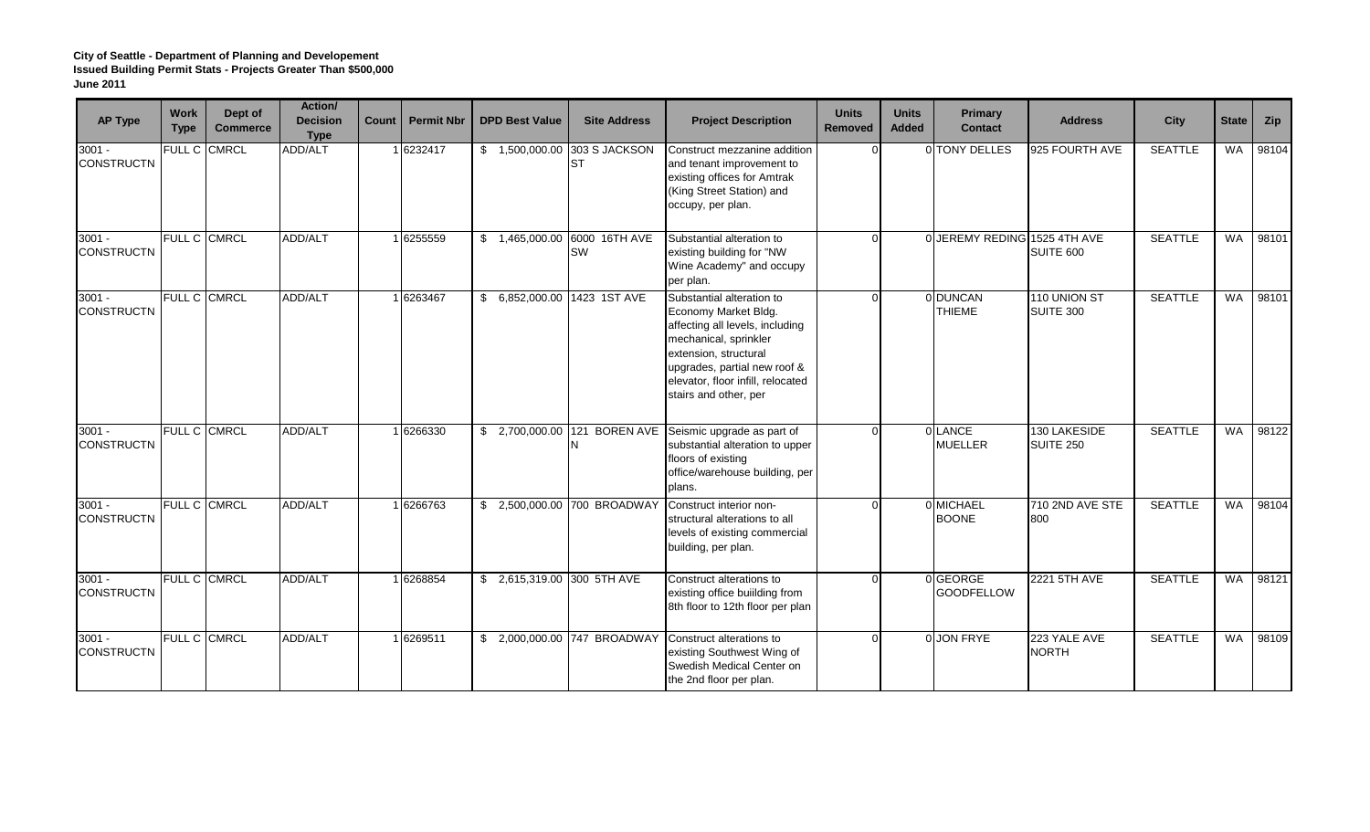| <b>AP Type</b>                | <b>Work</b><br><b>Type</b> | Dept of<br><b>Commerce</b> | <b>Action/</b><br><b>Decision</b><br><b>Type</b> | Count | <b>Permit Nbr</b> | <b>DPD Best Value</b> | <b>Site Address</b>           | <b>Project Description</b>                                                                                                                                                                                                           | <b>Units</b><br><b>Removed</b> | <b>Units</b><br><b>Added</b> | Primary<br><b>Contact</b>     | <b>Address</b>                   | <b>City</b>    | <b>State</b> | Zip   |
|-------------------------------|----------------------------|----------------------------|--------------------------------------------------|-------|-------------------|-----------------------|-------------------------------|--------------------------------------------------------------------------------------------------------------------------------------------------------------------------------------------------------------------------------------|--------------------------------|------------------------------|-------------------------------|----------------------------------|----------------|--------------|-------|
| $3001 -$<br><b>CONSTRUCTN</b> | FULL C                     | <b>CMRCL</b>               | ADD/ALT                                          |       | 1 6232417         | \$1,500,000.00        | 303 S JACKSON<br>IST          | Construct mezzanine addition<br>and tenant improvement to<br>existing offices for Amtrak<br>(King Street Station) and<br>occupy, per plan.                                                                                           | $\Omega$                       |                              | 0 TONY DELLES                 | 925 FOURTH AVE                   | <b>SEATTLE</b> | <b>WA</b>    | 98104 |
| $3001 -$<br><b>CONSTRUCTN</b> |                            | FULL C CMRCL               | ADD/ALT                                          |       | 1 6255559         | \$1,465,000.00        | 6000 16TH AVE<br>SW           | Substantial alteration to<br>existing building for "NW<br>Wine Academy" and occupy<br>per plan.                                                                                                                                      | $\Omega$                       |                              | 0 JEREMY REDING 1525 4TH AVE  | SUITE 600                        | <b>SEATTLE</b> | <b>WA</b>    | 98101 |
| $3001 -$<br><b>CONSTRUCTN</b> |                            | FULL C CMRCL               | ADD/ALT                                          |       | 1 6263467         |                       | \$ 6,852,000.00 1423 1ST AVE  | Substantial alteration to<br>Economy Market Bldg.<br>affecting all levels, including<br>mechanical, sprinkler<br>extension, structural<br>upgrades, partial new roof &<br>elevator, floor infill, relocated<br>stairs and other, per | $\Omega$                       |                              | 0 DUNCAN<br><b>THIEME</b>     | 110 UNION ST<br>SUITE 300        | <b>SEATTLE</b> | WA           | 98101 |
| $3001 -$<br><b>CONSTRUCTN</b> | FULL C CMRCL               |                            | ADD/ALT                                          |       | 1 6266330         |                       | \$ 2,700,000.00 121 BOREN AVE | Seismic upgrade as part of<br>substantial alteration to upper<br>floors of existing<br>office/warehouse building, per<br>plans.                                                                                                      | $\Omega$                       |                              | 0 LANCE<br><b>MUELLER</b>     | 130 LAKESIDE<br><b>SUITE 250</b> | <b>SEATTLE</b> | <b>WA</b>    | 98122 |
| $3001 -$<br><b>CONSTRUCTN</b> |                            | FULL C CMRCL               | ADD/ALT                                          |       | 1 6266763         |                       | \$ 2,500,000.00 700 BROADWAY  | Construct interior non-<br>structural alterations to all<br>levels of existing commercial<br>building, per plan.                                                                                                                     | $\Omega$                       |                              | 0 MICHAEL<br><b>BOONE</b>     | 710 2ND AVE STE<br>800           | <b>SEATTLE</b> | <b>WA</b>    | 98104 |
| $3001 -$<br><b>CONSTRUCTN</b> |                            | FULL C CMRCL               | <b>ADD/ALT</b>                                   |       | 1 6268854         |                       | \$ 2,615,319.00 300 5TH AVE   | Construct alterations to<br>existing office building from<br>8th floor to 12th floor per plan                                                                                                                                        | $\Omega$                       |                              | 0 GEORGE<br><b>GOODFELLOW</b> | <b>2221 5TH AVE</b>              | <b>SEATTLE</b> | <b>WA</b>    | 98121 |
| $3001 -$<br><b>CONSTRUCTN</b> |                            | FULL C CMRCL               | <b>ADD/ALT</b>                                   |       | 16269511          |                       | \$ 2,000,000.00 747 BROADWAY  | Construct alterations to<br>existing Southwest Wing of<br>Swedish Medical Center on<br>the 2nd floor per plan.                                                                                                                       | $\Omega$                       |                              | 0 JON FRYE                    | 223 YALE AVE<br><b>NORTH</b>     | <b>SEATTLE</b> | <b>WA</b>    | 98109 |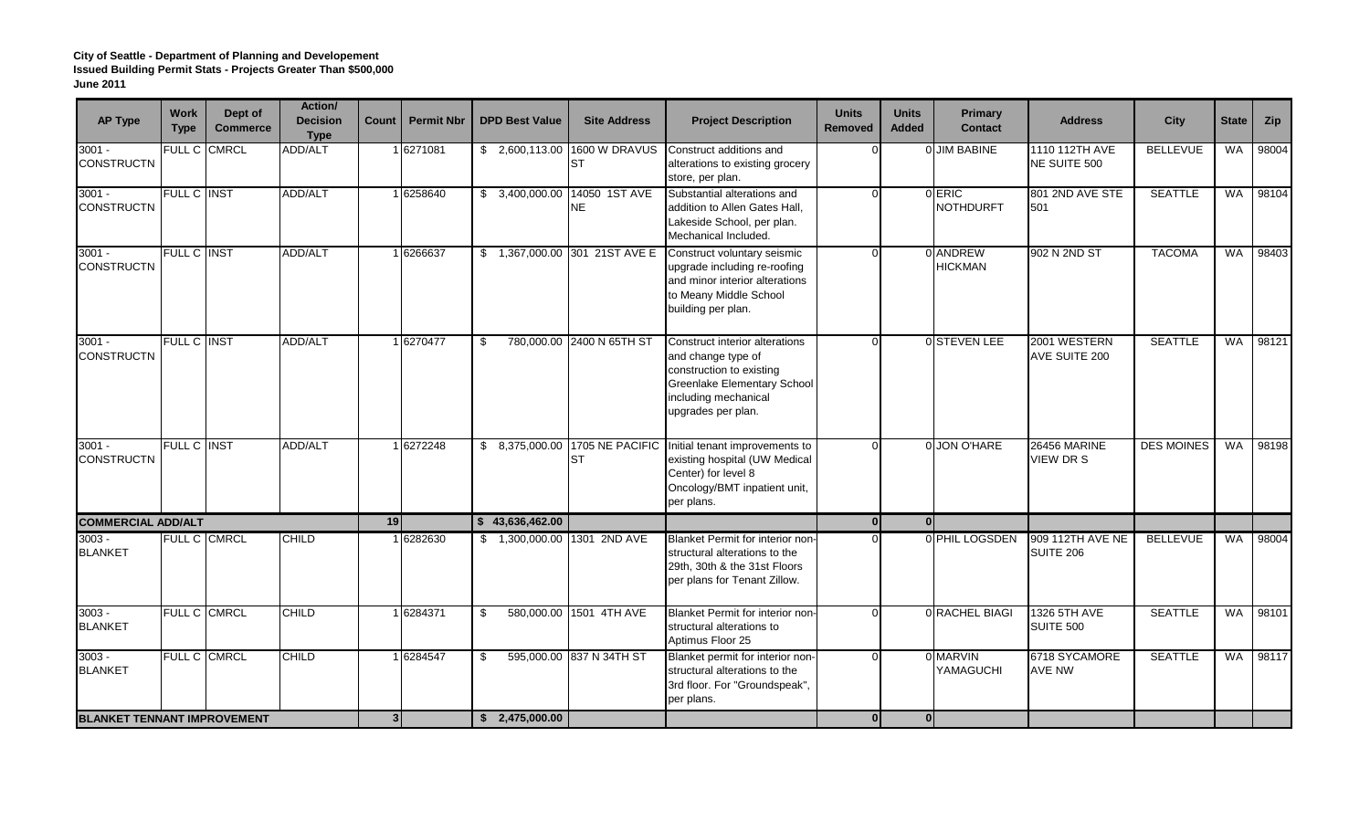| <b>AP Type</b>                     | <b>Work</b><br><b>Type</b> | Dept of<br><b>Commerce</b> | Action/<br><b>Decision</b><br><b>Type</b> | Count          | <b>Permit Nbr</b> | <b>DPD Best Value</b> |                | <b>Site Address</b>                    | <b>Project Description</b>                                                                                                                                    | <b>Units</b><br><b>Removed</b> | <b>Units</b><br><b>Added</b> | Primary<br><b>Contact</b>  | <b>Address</b>                   | <b>City</b>       | <b>State</b> | Zip   |
|------------------------------------|----------------------------|----------------------------|-------------------------------------------|----------------|-------------------|-----------------------|----------------|----------------------------------------|---------------------------------------------------------------------------------------------------------------------------------------------------------------|--------------------------------|------------------------------|----------------------------|----------------------------------|-------------------|--------------|-------|
| 3001 -<br><b>CONSTRUCTN</b>        | FULL C CMRCL               |                            | ADD/ALT                                   |                | 1 6271081         |                       | \$2,600,113.00 | 1600 W DRAVUS<br>IST                   | Construct additions and<br>alterations to existing grocery<br>store, per plan.                                                                                | ∩                              |                              | 0 JIM BABINE               | 1110 112TH AVE<br>NE SUITE 500   | <b>BELLEVUE</b>   | <b>WA</b>    | 98004 |
| $3001 -$<br><b>CONSTRUCTN</b>      | FULL C INST                |                            | ADD/ALT                                   |                | 1 6258640         |                       | \$3,400,000.00 | 14050 1ST AVE<br>NE.                   | Substantial alterations and<br>addition to Allen Gates Hall,<br>Lakeside School, per plan.<br>Mechanical Included.                                            | $\Omega$                       |                              | 0 ERIC<br><b>NOTHDURFT</b> | 801 2ND AVE STE<br>501           | <b>SEATTLE</b>    | WA           | 98104 |
| $3001 -$<br><b>CONSTRUCTN</b>      | FULL C INST                |                            | ADD/ALT                                   |                | 1 6266637         |                       |                | \$1,367,000.00 301 21ST AVE E          | Construct voluntary seismic<br>upgrade including re-roofing<br>and minor interior alterations<br>to Meany Middle School<br>building per plan.                 | $\Omega$                       |                              | 0 ANDREW<br><b>HICKMAN</b> | 902 N 2ND ST                     | <b>TACOMA</b>     | <b>WA</b>    | 98403 |
| $3001 -$<br><b>CONSTRUCTN</b>      | <b>FULL C INST</b>         |                            | ADD/ALT                                   |                | 1 6270477         | \$                    |                | 780,000.00 2400 N 65TH ST              | Construct interior alterations<br>and change type of<br>construction to existing<br>Greenlake Elementary School<br>including mechanical<br>upgrades per plan. | $\Omega$                       |                              | 0 STEVEN LEE               | 2001 WESTERN<br>AVE SUITE 200    | <b>SEATTLE</b>    | <b>WA</b>    | 98121 |
| $3001 -$<br><b>CONSTRUCTN</b>      | <b>FULL C INST</b>         |                            | <b>ADD/ALT</b>                            |                | 16272248          |                       |                | \$ 8,375,000.00 1705 NE PACIFIC<br>IST | Initial tenant improvements to<br>existing hospital (UW Medical<br>Center) for level 8<br>Oncology/BMT inpatient unit,<br>per plans.                          | $\Omega$                       |                              | 0 JON O'HARE               | 26456 MARINE<br><b>VIEW DR S</b> | <b>DES MOINES</b> | WA           | 98198 |
| <b>COMMERCIAL ADD/ALT</b>          |                            |                            |                                           | 19             |                   | \$43,636,462.00       |                |                                        |                                                                                                                                                               | 0                              | 0                            |                            |                                  |                   |              |       |
| $3003 -$<br><b>BLANKET</b>         |                            | FULL C CMRCL               | <b>CHILD</b>                              |                | 1 6282630         |                       |                | \$1,300,000.00 1301 2ND AVE            | Blanket Permit for interior non-<br>structural alterations to the<br>29th, 30th & the 31st Floors<br>per plans for Tenant Zillow.                             |                                |                              | 0 PHIL LOGSDEN             | 909 112TH AVE NE<br>SUITE 206    | <b>BELLEVUE</b>   | WA           | 98004 |
| $3003 -$<br><b>BLANKET</b>         | <b>FULL C CMRCL</b>        |                            | <b>CHILD</b>                              |                | 1 6284371         | \$                    |                | 580,000.00 1501 4TH AVE                | Blanket Permit for interior non-<br>structural alterations to<br>Aptimus Floor 25                                                                             | $\Omega$                       |                              | 0 RACHEL BIAGI             | 1326 5TH AVE<br>SUITE 500        | <b>SEATTLE</b>    | WA           | 98101 |
| $3003 -$<br><b>BLANKET</b>         |                            | FULL C CMRCL               | <b>CHILD</b>                              |                | 1 6284547         | \$                    |                | 595,000.00 837 N 34TH ST               | Blanket permit for interior non-<br>structural alterations to the<br>3rd floor. For "Groundspeak",<br>per plans.                                              | $\Omega$                       |                              | 0 MARVIN<br>YAMAGUCHI      | 6718 SYCAMORE<br>AVE NW          | <b>SEATTLE</b>    | <b>WA</b>    | 98117 |
| <b>BLANKET TENNANT IMPROVEMENT</b> |                            |                            |                                           | $\overline{3}$ |                   | \$2,475,000.00        |                |                                        |                                                                                                                                                               | 0                              | $\Omega$                     |                            |                                  |                   |              |       |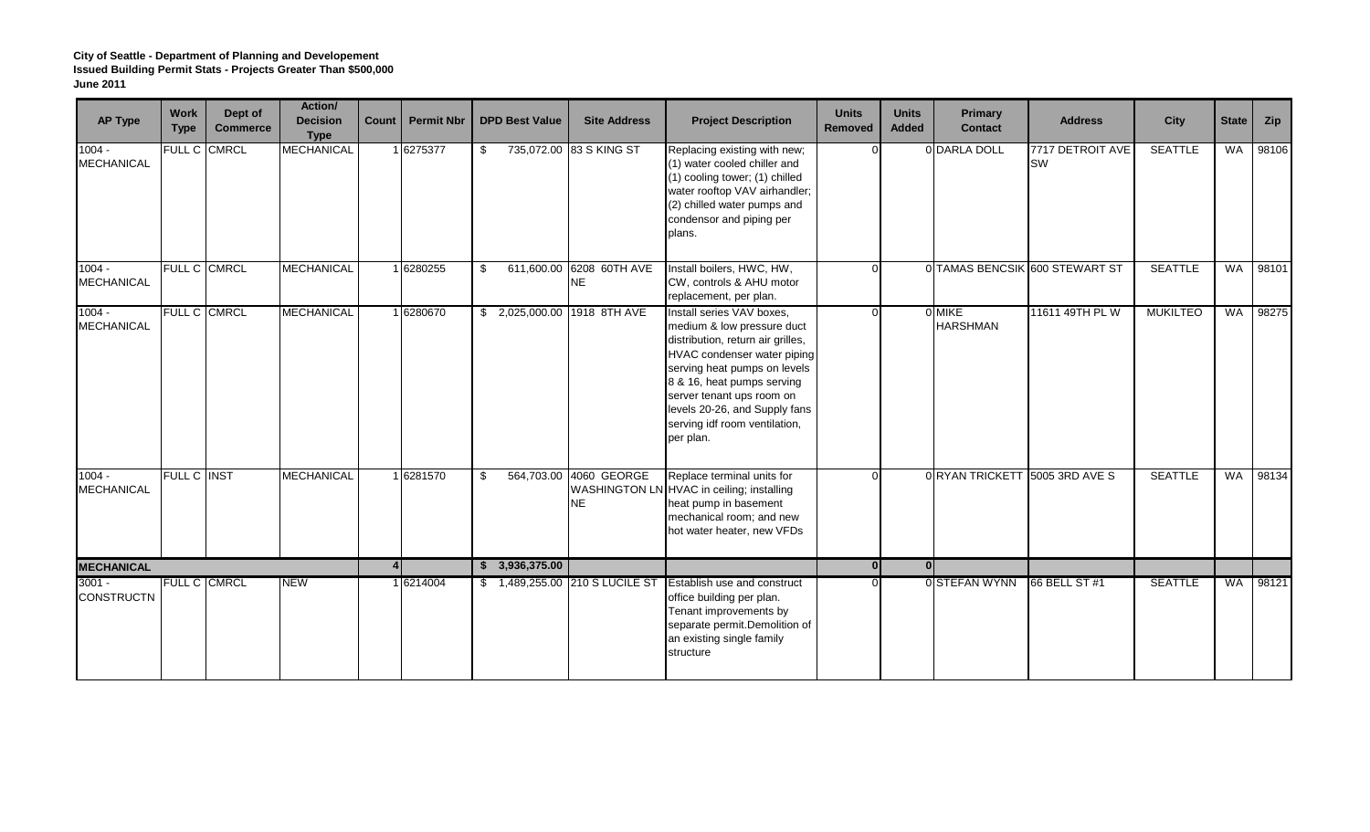| <b>AP Type</b>                | <b>Work</b><br><b>Type</b> | Dept of<br><b>Commerce</b> | Action/<br><b>Decision</b><br><b>Type</b> | Count                  | <b>Permit Nbr</b> | <b>DPD Best Value</b> | <b>Site Address</b>            | <b>Project Description</b>                                                                                                                                                                                                                                                                                   | <b>Units</b><br><b>Removed</b> | <b>Units</b><br><b>Added</b> | <b>Primary</b><br><b>Contact</b> | <b>Address</b>                 | <b>City</b>     | <b>State</b> | Zip   |
|-------------------------------|----------------------------|----------------------------|-------------------------------------------|------------------------|-------------------|-----------------------|--------------------------------|--------------------------------------------------------------------------------------------------------------------------------------------------------------------------------------------------------------------------------------------------------------------------------------------------------------|--------------------------------|------------------------------|----------------------------------|--------------------------------|-----------------|--------------|-------|
| $1004 -$<br><b>MECHANICAL</b> | FULL C                     | <b>CMRCL</b>               | <b>MECHANICAL</b>                         |                        | 1 6275377         | \$                    | 735,072.00 83 S KING ST        | Replacing existing with new;<br>(1) water cooled chiller and<br>(1) cooling tower; (1) chilled<br>water rooftop VAV airhandler;<br>(2) chilled water pumps and<br>condensor and piping per<br>plans.                                                                                                         | $\Omega$                       |                              | 0 DARLA DOLL                     | 7717 DETROIT AVE<br>SW         | <b>SEATTLE</b>  | <b>WA</b>    | 98106 |
| $1004 -$<br><b>MECHANICAL</b> | FULL C CMRCL               |                            | <b>MECHANICAL</b>                         |                        | 1 6280255         | \$<br>611,600.00      | 6208 60TH AVE<br><b>NE</b>     | Install boilers, HWC, HW,<br>CW, controls & AHU motor<br>replacement, per plan.                                                                                                                                                                                                                              | $\Omega$                       |                              |                                  | 0 TAMAS BENCSIK 600 STEWART ST | <b>SEATTLE</b>  | <b>WA</b>    | 98101 |
| $1004 -$<br><b>MECHANICAL</b> | <b>FULL C CMRCL</b>        |                            | <b>MECHANICAL</b>                         |                        | 1 6280670         |                       | \$ 2,025,000.00 1918 8TH AVE   | Install series VAV boxes,<br>medium & low pressure duct<br>distribution, return air grilles,<br><b>HVAC</b> condenser water piping<br>serving heat pumps on levels<br>8 & 16, heat pumps serving<br>server tenant ups room on<br>levels 20-26, and Supply fans<br>serving idf room ventilation,<br>per plan. | $\Omega$                       |                              | 0 MIKE<br><b>HARSHMAN</b>        | 11611 49TH PL W                | <b>MUKILTEO</b> | <b>WA</b>    | 98275 |
| $1004 -$<br><b>MECHANICAL</b> | FULL C INST                |                            | <b>MECHANICAL</b>                         |                        | 1 6281570         | \$<br>564,703.00      | 4060 GEORGE<br><b>NE</b>       | Replace terminal units for<br>WASHINGTON LN HVAC in ceiling; installing<br>heat pump in basement<br>mechanical room; and new<br>hot water heater, new VFDs                                                                                                                                                   | $\Omega$                       |                              | 0 RYAN TRICKETT 5005 3RD AVE S   |                                | <b>SEATTLE</b>  | <b>WA</b>    | 98134 |
| <b>MECHANICAL</b>             |                            |                            |                                           | $\boldsymbol{\Lambda}$ |                   | \$3,936,375.00        |                                |                                                                                                                                                                                                                                                                                                              | $\overline{0}$                 | 0 <sup>l</sup>               |                                  |                                |                 |              |       |
| $3001 -$<br><b>CONSTRUCTN</b> | <b>FULL C CMRCL</b>        |                            | <b>NEW</b>                                |                        | 1 6214004         |                       | \$1,489,255.00 210 S LUCILE ST | Establish use and construct<br>office building per plan.<br>Tenant improvements by<br>separate permit. Demolition of<br>an existing single family<br>structure                                                                                                                                               | $\Omega$                       |                              | 0 STEFAN WYNN                    | 66 BELL ST #1                  | <b>SEATTLE</b>  | <b>WA</b>    | 98121 |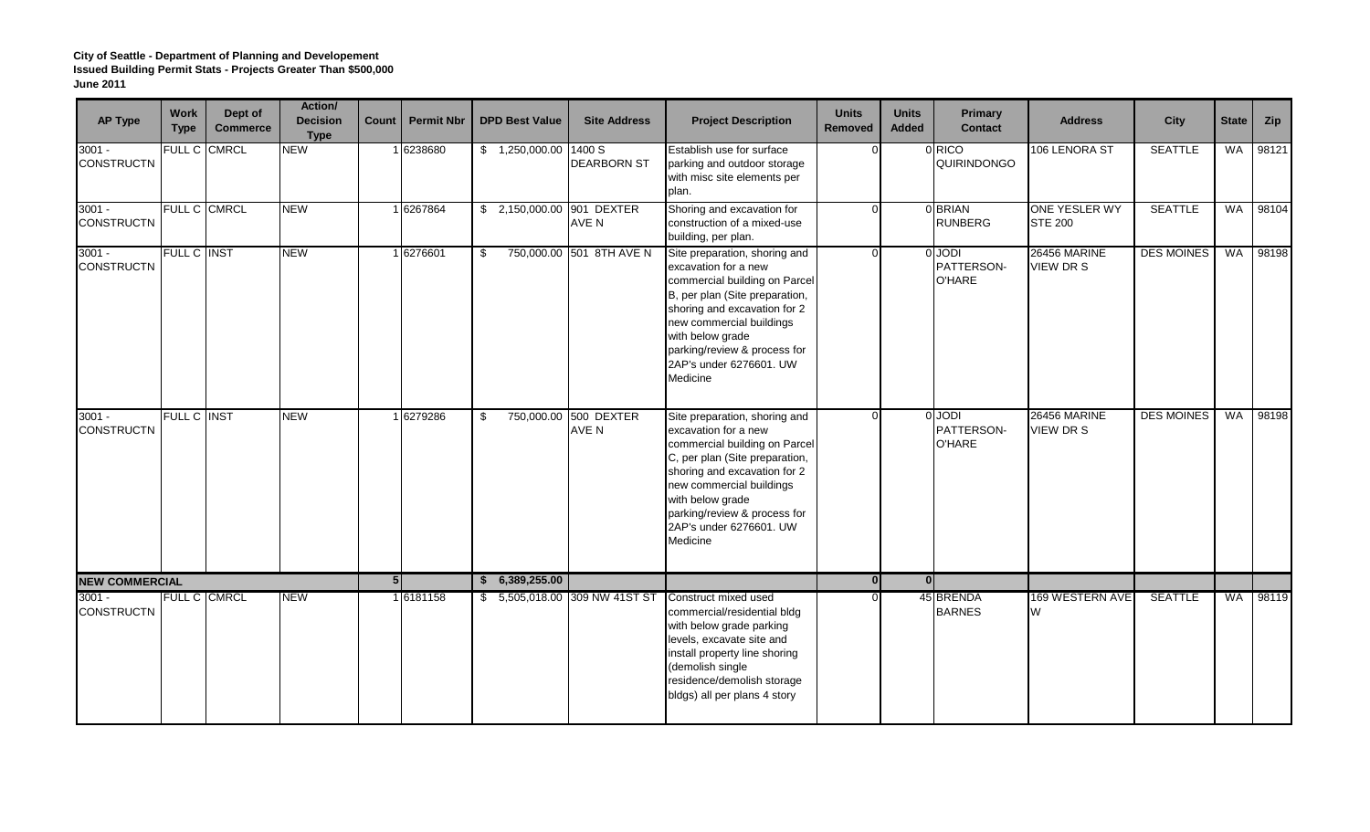| <b>AP Type</b>                | <b>Work</b><br><b>Type</b> | Dept of<br><b>Commerce</b> | Action/<br><b>Decision</b><br><b>Type</b> | Count          | <b>Permit Nbr</b> | <b>DPD Best Value</b>      | <b>Site Address</b>            | <b>Project Description</b>                                                                                                                                                                                                                                                      | <b>Units</b><br><b>Removed</b> | <b>Units</b><br><b>Added</b> | Primary<br><b>Contact</b>             | <b>Address</b>                          | <b>City</b>       | <b>State</b> | Zip   |
|-------------------------------|----------------------------|----------------------------|-------------------------------------------|----------------|-------------------|----------------------------|--------------------------------|---------------------------------------------------------------------------------------------------------------------------------------------------------------------------------------------------------------------------------------------------------------------------------|--------------------------------|------------------------------|---------------------------------------|-----------------------------------------|-------------------|--------------|-------|
| $3001 -$<br><b>CONSTRUCTN</b> |                            | FULL C CMRCL               | <b>NEW</b>                                |                | 1 6238680         | $$1,250,000.00$ 1400 S     | <b>DEARBORN ST</b>             | Establish use for surface<br>parking and outdoor storage<br>with misc site elements per<br>plan.                                                                                                                                                                                | $\Omega$                       |                              | 0 RICO<br>QUIRINDONGO                 | 106 LENORA ST                           | <b>SEATTLE</b>    | <b>WA</b>    | 98121 |
| $3001 -$<br><b>CONSTRUCTN</b> |                            | FULL C CMRCL               | <b>NEW</b>                                |                | 1 6267864         | \$ 2,150,000.00 901 DEXTER | AVE N                          | Shoring and excavation for<br>construction of a mixed-use<br>building, per plan.                                                                                                                                                                                                | $\Omega$                       |                              | 0 BRIAN<br><b>RUNBERG</b>             | ONE YESLER WY<br><b>STE 200</b>         | <b>SEATTLE</b>    | <b>WA</b>    | 98104 |
| $3001 -$<br><b>CONSTRUCTN</b> | FULL C INST                |                            | <b>NEW</b>                                |                | 1 6276601         | \$                         | 750,000.00 501 8TH AVE N       | Site preparation, shoring and<br>excavation for a new<br>commercial building on Parcel<br>B, per plan (Site preparation,<br>shoring and excavation for 2<br>new commercial buildings<br>with below grade<br>parking/review & process for<br>2AP's under 6276601. UW<br>Medicine | $\Omega$                       |                              | 0 JODI<br>PATTERSON-<br><b>O'HARE</b> | <b>26456 MARINE</b><br><b>VIEW DR S</b> | <b>DES MOINES</b> | WA           | 98198 |
| $3001 -$<br><b>CONSTRUCTN</b> | FULL C INST                |                            | <b>NEW</b>                                |                | 1 6279286         | \$                         | 750,000.00 500 DEXTER<br>AVE N | Site preparation, shoring and<br>excavation for a new<br>commercial building on Parcel<br>C, per plan (Site preparation,<br>shoring and excavation for 2<br>new commercial buildings<br>with below grade<br>parking/review & process for<br>2AP's under 6276601. UW<br>Medicine | $\Omega$                       |                              | $0$ JODI<br>PATTERSON-<br>O'HARE      | <b>26456 MARINE</b><br><b>VIEW DRS</b>  | <b>DES MOINES</b> | WA           | 98198 |
| <b>NEW COMMERCIAL</b>         |                            |                            |                                           | 5 <sub>1</sub> |                   | \$6,389,255.00             |                                |                                                                                                                                                                                                                                                                                 | 0                              | $\Omega$                     |                                       |                                         |                   |              |       |
| $3001 -$<br><b>CONSTRUCTN</b> |                            | FULL C CMRCL               | <b>NEW</b>                                |                | 1 6181158         |                            | \$5,505,018.00 309 NW 41ST ST  | Construct mixed used<br>commercial/residential bldg<br>with below grade parking<br>levels, excavate site and<br>install property line shoring<br>(demolish single<br>residence/demolish storage<br>bldgs) all per plans 4 story                                                 | $\Omega$                       |                              | 45 BRENDA<br><b>BARNES</b>            | 169 WESTERN AVE<br>W                    | <b>SEATTLE</b>    | <b>WA</b>    | 98119 |